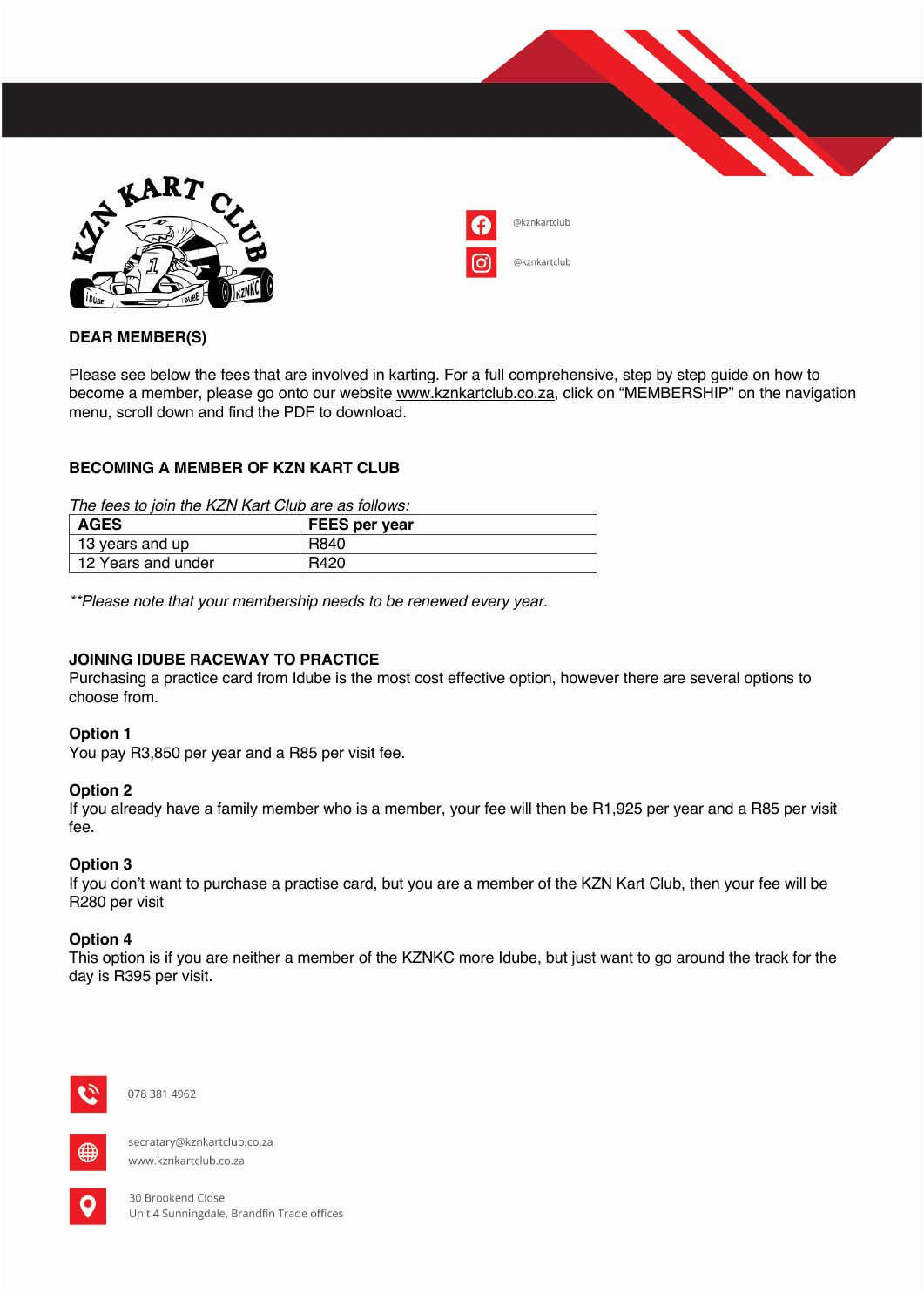



### **DEAR MEMBER(S)**

Please see below the fees that are involved in karting. For a full comprehensive, step by step guide on how to become a member, please go onto our website www.kznkartclub.co.za, click on "MEMBERSHIP" on the navigation menu, scroll down and find the PDF to download.

# **BECOMING A MEMBER OF KZN KART CLUB**

*The fees to join the KZN Kart Club are as follows:*

| <b>AGES</b>           | <b>FEES per year</b> |
|-----------------------|----------------------|
| $\pm$ 13 years and up | R840                 |
| 12 Years and under    | R420                 |

*\*\*Please note that your membership needs to be renewed every year.*

### **JOINING IDUBE RACEWAY TO PRACTICE**

Purchasing a practice card from Idube is the most cost effective option, however there are several options to choose from.

#### **Option 1**

You pay R3,850 per year and a R85 per visit fee.

#### **Option 2**

If you already have a family member who is a member, your fee will then be R1,925 per year and a R85 per visit fee.

#### **Option 3**

If you don't want to purchase a practise card, but you are a member of the KZN Kart Club, then your fee will be R280 per visit

#### **Option 4**

This option is if you are neither a member of the KZNKC more Idube, but just want to go around the track for the day is R395 per visit.



078 381 4962



secratary@kznkartclub.co.za www.kznkartclub.co.za



30 Brookend Close Unit 4 Sunningdale, Brandfin Trade offices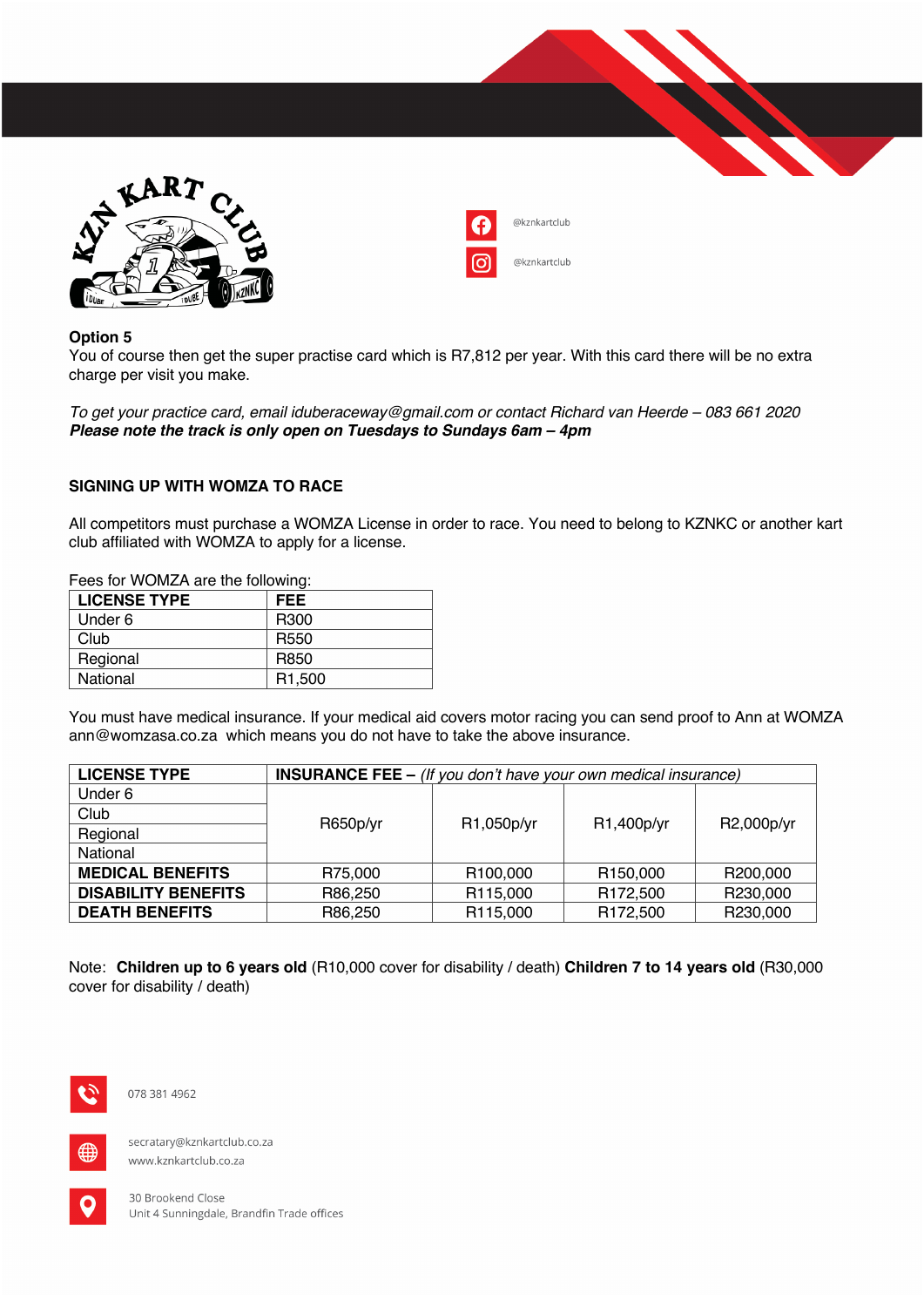



# **Option 5**

You of course then get the super practise card which is R7,812 per year. With this card there will be no extra charge per visit you make.

*To get your practice card, email iduberaceway@gmail.com or contact Richard van Heerde – 083 661 2020 Please note the track is only open on Tuesdays to Sundays 6am – 4pm*

# **SIGNING UP WITH WOMZA TO RACE**

All competitors must purchase a WOMZA License in order to race. You need to belong to KZNKC or another kart club affiliated with WOMZA to apply for a license.

Fees for WOMZA are the following:

| <b>LICENSE TYPE</b> | FEE                 |
|---------------------|---------------------|
| Under 6             | R <sub>300</sub>    |
| Club                | R <sub>550</sub>    |
| Regional            | R850                |
| National            | R <sub>1</sub> ,500 |

You must have medical insurance. If your medical aid covers motor racing you can send proof to Ann at WOMZA ann@womzasa.co.za which means you do not have to take the above insurance.

| <b>LICENSE TYPE</b>        | <b>INSURANCE FEE - (If you don't have your own medical insurance)</b> |            |                      |            |  |  |
|----------------------------|-----------------------------------------------------------------------|------------|----------------------|------------|--|--|
| Under 6                    |                                                                       |            |                      |            |  |  |
| Club                       |                                                                       | R1,050p/yr | R1,400p/yr           | R2,000p/yr |  |  |
| Regional                   | R650p/yr                                                              |            |                      |            |  |  |
| National                   |                                                                       |            |                      |            |  |  |
| <b>MEDICAL BENEFITS</b>    | R75,000                                                               | R100,000   | R <sub>150,000</sub> | R200,000   |  |  |
| <b>DISABILITY BENEFITS</b> | R86,250                                                               | R115,000   | R <sub>172,500</sub> | R230,000   |  |  |
| <b>DEATH BENEFITS</b>      | R86,250                                                               | R115,000   | R <sub>172,500</sub> | R230,000   |  |  |

Note: **Children up to 6 years old** (R10,000 cover for disability / death) **Children 7 to 14 years old** (R30,000 cover for disability / death)



078 381 4962



secratary@kznkartclub.co.za www.kznkartclub.co.za



30 Brookend Close Unit 4 Sunningdale, Brandfin Trade offices